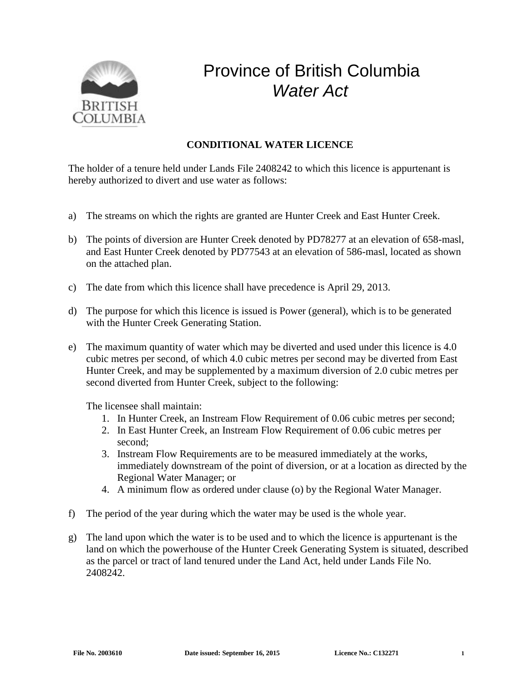

## Province of British Columbia *Water Act*

## **CONDITIONAL WATER LICENCE**

The holder of a tenure held under Lands File 2408242 to which this licence is appurtenant is hereby authorized to divert and use water as follows:

- a) The streams on which the rights are granted are Hunter Creek and East Hunter Creek.
- b) The points of diversion are Hunter Creek denoted by PD78277 at an elevation of 658-masl, and East Hunter Creek denoted by PD77543 at an elevation of 586-masl, located as shown on the attached plan.
- c) The date from which this licence shall have precedence is April 29, 2013.
- d) The purpose for which this licence is issued is Power (general), which is to be generated with the Hunter Creek Generating Station.
- e) The maximum quantity of water which may be diverted and used under this licence is 4.0 cubic metres per second, of which 4.0 cubic metres per second may be diverted from East Hunter Creek, and may be supplemented by a maximum diversion of 2.0 cubic metres per second diverted from Hunter Creek, subject to the following:

The licensee shall maintain:

- 1. In Hunter Creek, an Instream Flow Requirement of 0.06 cubic metres per second;
- 2. In East Hunter Creek, an Instream Flow Requirement of 0.06 cubic metres per second;
- 3. Instream Flow Requirements are to be measured immediately at the works, immediately downstream of the point of diversion, or at a location as directed by the Regional Water Manager; or
- 4. A minimum flow as ordered under clause (o) by the Regional Water Manager.
- f) The period of the year during which the water may be used is the whole year.
- g) The land upon which the water is to be used and to which the licence is appurtenant is the land on which the powerhouse of the Hunter Creek Generating System is situated, described as the parcel or tract of land tenured under the Land Act, held under Lands File No. 2408242.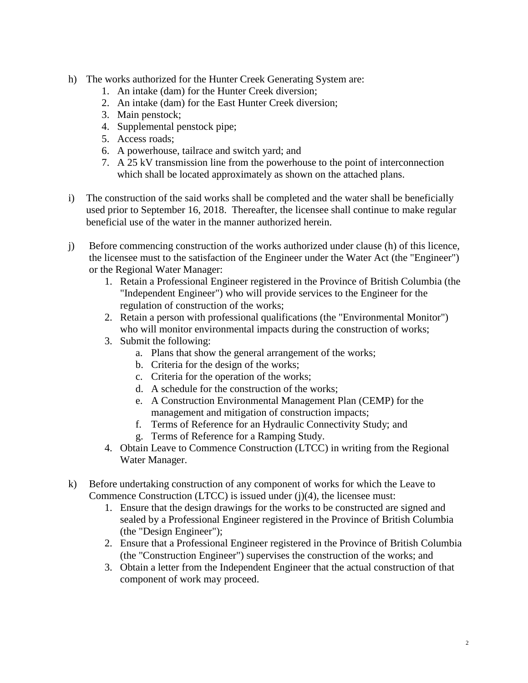- h) The works authorized for the Hunter Creek Generating System are:
	- 1. An intake (dam) for the Hunter Creek diversion;
	- 2. An intake (dam) for the East Hunter Creek diversion;
	- 3. Main penstock;
	- 4. Supplemental penstock pipe;
	- 5. Access roads;
	- 6. A powerhouse, tailrace and switch yard; and
	- 7. A 25 kV transmission line from the powerhouse to the point of interconnection which shall be located approximately as shown on the attached plans.
- i) The construction of the said works shall be completed and the water shall be beneficially used prior to September 16, 2018. Thereafter, the licensee shall continue to make regular beneficial use of the water in the manner authorized herein.
- j) Before commencing construction of the works authorized under clause (h) of this licence, the licensee must to the satisfaction of the Engineer under the Water Act (the "Engineer") or the Regional Water Manager:
	- 1. Retain a Professional Engineer registered in the Province of British Columbia (the "Independent Engineer") who will provide services to the Engineer for the regulation of construction of the works;
	- 2. Retain a person with professional qualifications (the "Environmental Monitor") who will monitor environmental impacts during the construction of works;
	- 3. Submit the following:
		- a. Plans that show the general arrangement of the works;
		- b. Criteria for the design of the works;
		- c. Criteria for the operation of the works;
		- d. A schedule for the construction of the works;
		- e. A Construction Environmental Management Plan (CEMP) for the management and mitigation of construction impacts;
		- f. Terms of Reference for an Hydraulic Connectivity Study; and
		- g. Terms of Reference for a Ramping Study.
	- 4. Obtain Leave to Commence Construction (LTCC) in writing from the Regional Water Manager.
- k) Before undertaking construction of any component of works for which the Leave to Commence Construction (LTCC) is issued under (j)(4), the licensee must:
	- 1. Ensure that the design drawings for the works to be constructed are signed and sealed by a Professional Engineer registered in the Province of British Columbia (the "Design Engineer");
	- 2. Ensure that a Professional Engineer registered in the Province of British Columbia (the "Construction Engineer") supervises the construction of the works; and
	- 3. Obtain a letter from the Independent Engineer that the actual construction of that component of work may proceed.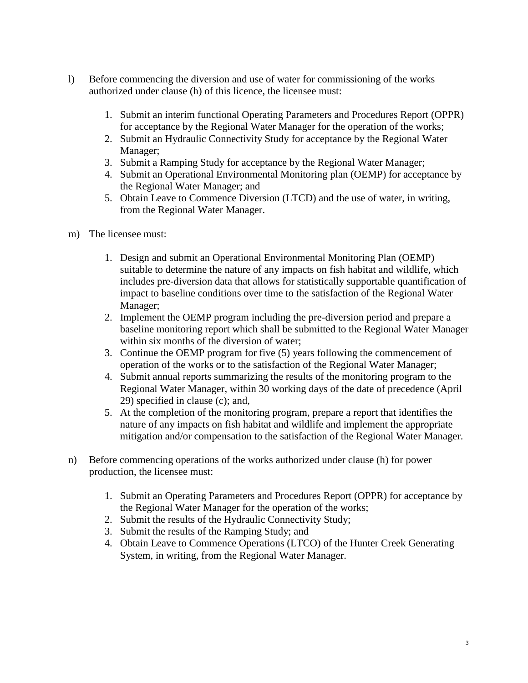- l) Before commencing the diversion and use of water for commissioning of the works authorized under clause (h) of this licence, the licensee must:
	- 1. Submit an interim functional Operating Parameters and Procedures Report (OPPR) for acceptance by the Regional Water Manager for the operation of the works;
	- 2. Submit an Hydraulic Connectivity Study for acceptance by the Regional Water Manager;
	- 3. Submit a Ramping Study for acceptance by the Regional Water Manager;
	- 4. Submit an Operational Environmental Monitoring plan (OEMP) for acceptance by the Regional Water Manager; and
	- 5. Obtain Leave to Commence Diversion (LTCD) and the use of water, in writing, from the Regional Water Manager.
- m) The licensee must:
	- 1. Design and submit an Operational Environmental Monitoring Plan (OEMP) suitable to determine the nature of any impacts on fish habitat and wildlife, which includes pre-diversion data that allows for statistically supportable quantification of impact to baseline conditions over time to the satisfaction of the Regional Water Manager;
	- 2. Implement the OEMP program including the pre-diversion period and prepare a baseline monitoring report which shall be submitted to the Regional Water Manager within six months of the diversion of water;
	- 3. Continue the OEMP program for five (5) years following the commencement of operation of the works or to the satisfaction of the Regional Water Manager;
	- 4. Submit annual reports summarizing the results of the monitoring program to the Regional Water Manager, within 30 working days of the date of precedence (April 29) specified in clause (c); and,
	- 5. At the completion of the monitoring program, prepare a report that identifies the nature of any impacts on fish habitat and wildlife and implement the appropriate mitigation and/or compensation to the satisfaction of the Regional Water Manager.
- n) Before commencing operations of the works authorized under clause (h) for power production, the licensee must:
	- 1. Submit an Operating Parameters and Procedures Report (OPPR) for acceptance by the Regional Water Manager for the operation of the works;
	- 2. Submit the results of the Hydraulic Connectivity Study;
	- 3. Submit the results of the Ramping Study; and
	- 4. Obtain Leave to Commence Operations (LTCO) of the Hunter Creek Generating System, in writing, from the Regional Water Manager.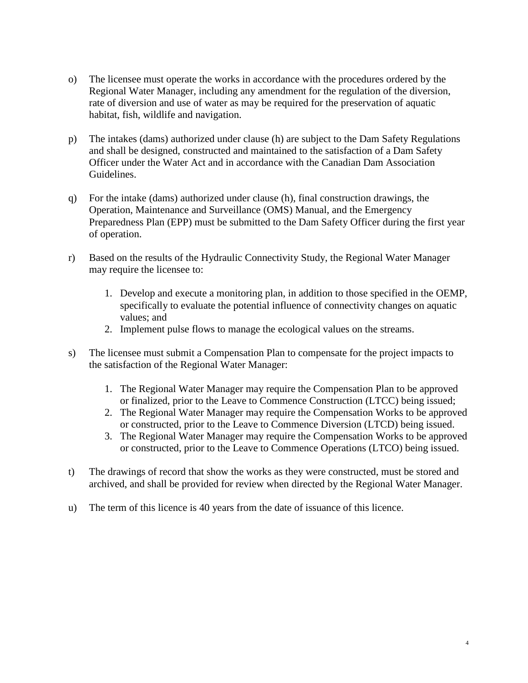- o) The licensee must operate the works in accordance with the procedures ordered by the Regional Water Manager, including any amendment for the regulation of the diversion, rate of diversion and use of water as may be required for the preservation of aquatic habitat, fish, wildlife and navigation.
- p) The intakes (dams) authorized under clause (h) are subject to the Dam Safety Regulations and shall be designed, constructed and maintained to the satisfaction of a Dam Safety Officer under the Water Act and in accordance with the Canadian Dam Association Guidelines.
- q) For the intake (dams) authorized under clause (h), final construction drawings, the Operation, Maintenance and Surveillance (OMS) Manual, and the Emergency Preparedness Plan (EPP) must be submitted to the Dam Safety Officer during the first year of operation.
- r) Based on the results of the Hydraulic Connectivity Study, the Regional Water Manager may require the licensee to:
	- 1. Develop and execute a monitoring plan, in addition to those specified in the OEMP, specifically to evaluate the potential influence of connectivity changes on aquatic values; and
	- 2. Implement pulse flows to manage the ecological values on the streams.
- s) The licensee must submit a Compensation Plan to compensate for the project impacts to the satisfaction of the Regional Water Manager:
	- 1. The Regional Water Manager may require the Compensation Plan to be approved or finalized, prior to the Leave to Commence Construction (LTCC) being issued;
	- 2. The Regional Water Manager may require the Compensation Works to be approved or constructed, prior to the Leave to Commence Diversion (LTCD) being issued.
	- 3. The Regional Water Manager may require the Compensation Works to be approved or constructed, prior to the Leave to Commence Operations (LTCO) being issued.
- t) The drawings of record that show the works as they were constructed, must be stored and archived, and shall be provided for review when directed by the Regional Water Manager.
- u) The term of this licence is 40 years from the date of issuance of this licence.